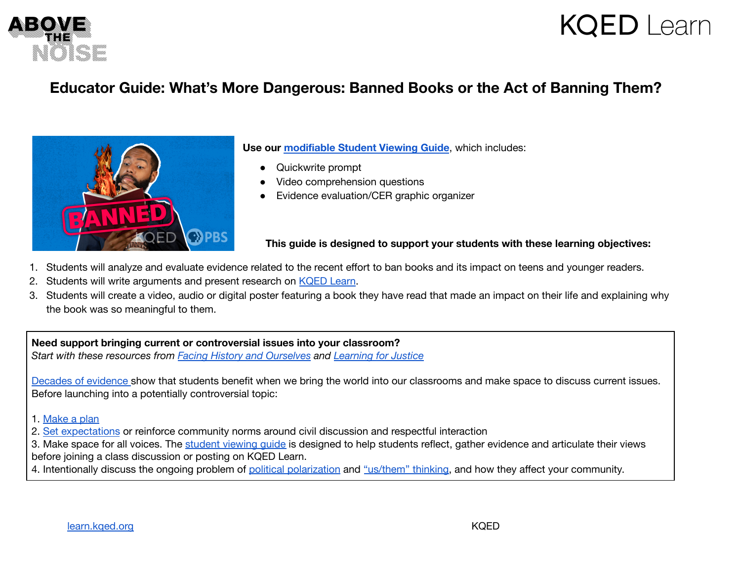

## **KQED** Learn

### **Educator Guide: What's More Dangerous: Banned Books or the Act of Banning Them?**



**Use our [modifiable](https://docs.google.com/document/d/1KIqDeKCzNAs6_YzaDPwBen8j-yZpTW9ZisGhPlajNGQ/edit?usp=sharing) Student Viewing Guide**, which includes:

- Quickwrite prompt
- Video comprehension questions
- Evidence evaluation/CER graphic organizer

#### **This guide is designed to support your students with these learning objectives:**

- 1. Students will analyze and evaluate evidence related to the recent effort to ban books and its impact on teens and younger readers.
- 2. Students will write arguments and present research on [KQED](https://learn.kqed.org/discussions/115) Learn.
- 3. Students will create a video, audio or digital poster featuring a book they have read that made an impact on their life and explaining why the book was so meaningful to them.

#### **Need support bringing current or controversial issues into your classroom?**

*Start with these resources from Facing History and [Ourselves](https://www.facinghistory.org) and [Learning](https://www.learningforjustice.org) for Justice*

Decades of [evidence](https://www.edweek.org/leadership/opinion-we-have-to-talk-about-current-events-in-the-classroom/2016/11) show that students benefit when we bring the world into our classrooms and make space to discuss current issues. Before launching into a potentially controversial topic:

- 1. [Make](https://www.facinghistory.org/sites/default/files/publications/Current_Events_Teacher_Checklist.pdf) a plan
- 2. Set [expectations](https://www.facinghistory.org/resource-library/teaching-strategies/contracting) or reinforce community norms around civil discussion and respectful interaction
- 3. Make space for all voices. The [student](https://docs.google.com/document/d/1j94-FuRTDSheB5Mrc_uvncG1Q4WHqL4lUl1Ycl7sDHE/edit?usp=sharing) viewing quide is designed to help students reflect, gather evidence and articulate their views before joining a class discussion or posting on KQED Learn.
- 4. Intentionally discuss the ongoing problem of political [polarization](https://www.learningforjustice.org/magazine/fall-2016/polarized-classrooms) and ["us/them"](https://facingtoday.facinghistory.org/how-teachers-can-help-students-make-sense-of-political-and-social-tensions) thinking, and how they affect your community.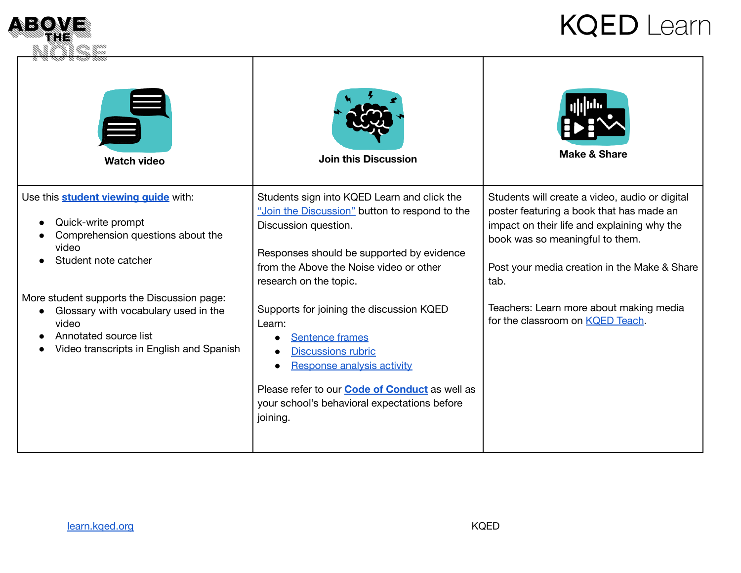

# **KQED** Learn

| <b>Watch video</b>                                                                                                                                               | <b>Join this Discussion</b>                                                                                                                                                                                                                                  | <b>Make &amp; Share</b>                                                                                                                                                                                                              |
|------------------------------------------------------------------------------------------------------------------------------------------------------------------|--------------------------------------------------------------------------------------------------------------------------------------------------------------------------------------------------------------------------------------------------------------|--------------------------------------------------------------------------------------------------------------------------------------------------------------------------------------------------------------------------------------|
| Use this <b>student viewing quide</b> with:<br>Quick-write prompt<br>Comprehension questions about the<br>video<br>Student note catcher                          | Students sign into KQED Learn and click the<br>"Join the Discussion" button to respond to the<br>Discussion question.<br>Responses should be supported by evidence<br>from the Above the Noise video or other<br>research on the topic.                      | Students will create a video, audio or digital<br>poster featuring a book that has made an<br>impact on their life and explaining why the<br>book was so meaningful to them.<br>Post your media creation in the Make & Share<br>tab. |
| More student supports the Discussion page:<br>Glossary with vocabulary used in the<br>video<br>Annotated source list<br>Video transcripts in English and Spanish | Supports for joining the discussion KQED<br>Learn:<br><b>Sentence frames</b><br><b>Discussions rubric</b><br>Response analysis activity<br>Please refer to our <b>Code of Conduct</b> as well as<br>your school's behavioral expectations before<br>joining. | Teachers: Learn more about making media<br>for the classroom on KQED Teach.                                                                                                                                                          |